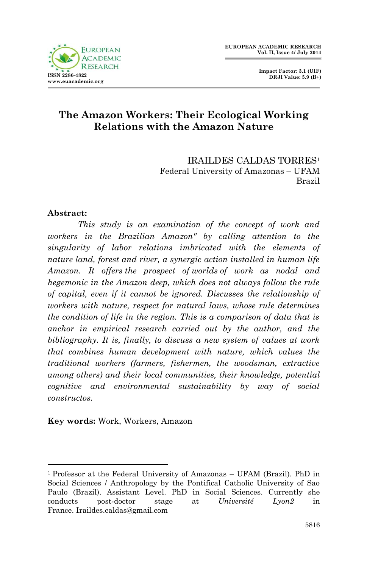

 **Impact Factor: 3.1 (UIF) DRJI Value: 5.9 (B+)**

## **The Amazon Workers: Their Ecological Working Relations with the Amazon Nature**

IRAILDES CALDAS TORRES<sup>1</sup> Federal University of Amazonas – UFAM Brazil

## **Abstract:**

**.** 

*This study is an examination of the concept of work and workers in the Brazilian Amazon" by calling attention to the singularity of labor relations imbricated with the elements of nature land, forest and river, a synergic action installed in human life Amazon. It offers the prospect of worlds of work as nodal and hegemonic in the Amazon deep, which does not always follow the rule of capital, even if it cannot be ignored. Discusses the relationship of workers with nature, respect for natural laws, whose rule determines the condition of life in the region. This is a comparison of data that is anchor in empirical research carried out by the author, and the bibliography. It is, finally, to discuss a new system of values at work that combines human development with nature, which values the traditional workers (farmers, fishermen, the woodsman, extractive among others) and their local communities, their knowledge, potential cognitive and environmental sustainability by way of social constructos.*

**Key words:** Work, Workers, Amazon

<sup>1</sup> Professor at the Federal University of Amazonas – UFAM (Brazil). PhD in Social Sciences / Anthropology by the Pontifical Catholic University of Sao Paulo (Brazil). Assistant Level. PhD in Social Sciences. Currently she conducts post-doctor stage at *Université Lyon2* in France. Iraildes.caldas@gmail.com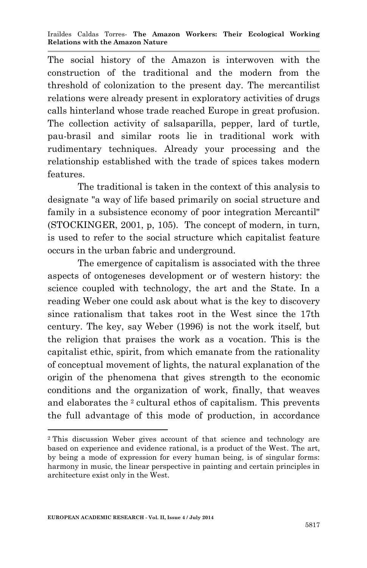The social history of the Amazon is interwoven with the construction of the traditional and the modern from the threshold of colonization to the present day. The mercantilist relations were already present in exploratory activities of drugs calls hinterland whose trade reached Europe in great profusion. The collection activity of salsaparilla, pepper, lard of turtle, pau-brasil and similar roots lie in traditional work with rudimentary techniques. Already your processing and the relationship established with the trade of spices takes modern features.

The traditional is taken in the context of this analysis to designate "a way of life based primarily on social structure and family in a subsistence economy of poor integration Mercantil" (STOCKINGER, 2001, p, 105). The concept of modern, in turn, is used to refer to the social structure which capitalist feature occurs in the urban fabric and underground.

The emergence of capitalism is associated with the three aspects of ontogeneses development or of western history: the science coupled with technology, the art and the State. In a reading Weber one could ask about what is the key to discovery since rationalism that takes root in the West since the 17th century. The key, say Weber (1996) is not the work itself, but the religion that praises the work as a vocation. This is the capitalist ethic, spirit, from which emanate from the rationality of conceptual movement of lights, the natural explanation of the origin of the phenomena that gives strength to the economic conditions and the organization of work, finally, that weaves and elaborates the <sup>2</sup> cultural ethos of capitalism. This prevents the full advantage of this mode of production, in accordance

1

<sup>2</sup> This discussion Weber gives account of that science and technology are based on experience and evidence rational, is a product of the West. The art, by being a mode of expression for every human being, is of singular forms: harmony in music, the linear perspective in painting and certain principles in architecture exist only in the West.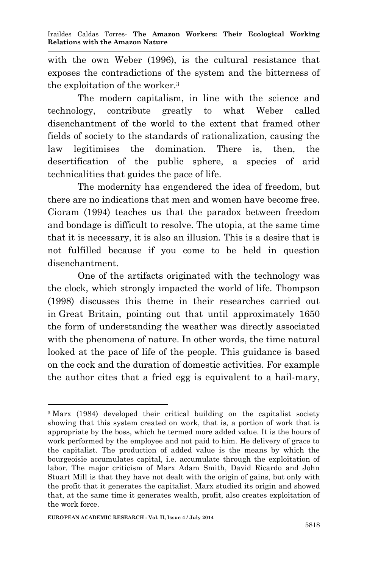with the own Weber (1996), is the cultural resistance that exposes the contradictions of the system and the bitterness of the exploitation of the worker.<sup>3</sup>

The modern capitalism, in line with the science and technology, contribute greatly to what Weber called disenchantment of the world to the extent that framed other fields of society to the standards of rationalization, causing the law legitimises the domination. There is, then, the desertification of the public sphere, a species of arid technicalities that guides the pace of life.

The modernity has engendered the idea of freedom, but there are no indications that men and women have become free. Cioram (1994) teaches us that the paradox between freedom and bondage is difficult to resolve. The utopia, at the same time that it is necessary, it is also an illusion. This is a desire that is not fulfilled because if you come to be held in question disenchantment.

One of the artifacts originated with the technology was the clock, which strongly impacted the world of life. Thompson (1998) discusses this theme in their researches carried out in Great Britain, pointing out that until approximately 1650 the form of understanding the weather was directly associated with the phenomena of nature. In other words, the time natural looked at the pace of life of the people. This guidance is based on the cock and the duration of domestic activities. For example the author cites that a fried egg is equivalent to a hail-mary,

<sup>3</sup> Marx (1984) developed their critical building on the capitalist society showing that this system created on work, that is, a portion of work that is appropriate by the boss, which he termed more added value. It is the hours of work performed by the employee and not paid to him. He delivery of grace to the capitalist. The production of added value is the means by which the bourgeoisie accumulates capital, i.e. accumulate through the exploitation of labor. The major criticism of Marx Adam Smith, David Ricardo and John Stuart Mill is that they have not dealt with the origin of gains, but only with the profit that it generates the capitalist. Marx studied its origin and showed that, at the same time it generates wealth, profit, also creates exploitation of the work force.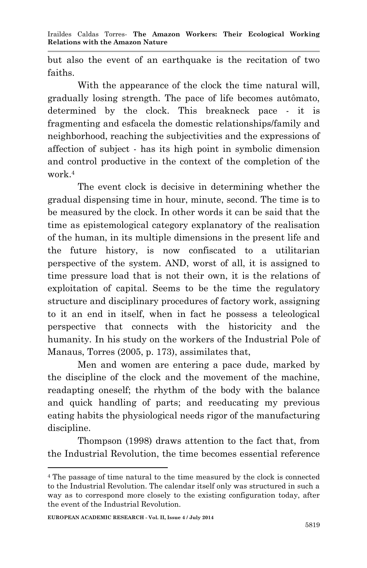but also the event of an earthquake is the recitation of two faiths.

With the appearance of the clock the time natural will, gradually losing strength. The pace of life becomes autômato, determined by the clock. This breakneck pace - it is fragmenting and esfacela the domestic relationships/family and neighborhood, reaching the subjectivities and the expressions of affection of subject - has its high point in symbolic dimension and control productive in the context of the completion of the work.<sup>4</sup>

The event clock is decisive in determining whether the gradual dispensing time in hour, minute, second. The time is to be measured by the clock. In other words it can be said that the time as epistemological category explanatory of the realisation of the human, in its multiple dimensions in the present life and the future history, is now confiscated to a utilitarian perspective of the system. AND, worst of all, it is assigned to time pressure load that is not their own, it is the relations of exploitation of capital. Seems to be the time the regulatory structure and disciplinary procedures of factory work, assigning to it an end in itself, when in fact he possess a teleological perspective that connects with the historicity and the humanity. In his study on the workers of the Industrial Pole of Manaus, Torres (2005, p. 173), assimilates that,

Men and women are entering a pace dude, marked by the discipline of the clock and the movement of the machine, readapting oneself; the rhythm of the body with the balance and quick handling of parts; and reeducating my previous eating habits the physiological needs rigor of the manufacturing discipline.

Thompson (1998) draws attention to the fact that, from the Industrial Revolution, the time becomes essential reference

<sup>4</sup> The passage of time natural to the time measured by the clock is connected to the Industrial Revolution. The calendar itself only was structured in such a way as to correspond more closely to the existing configuration today, after the event of the Industrial Revolution.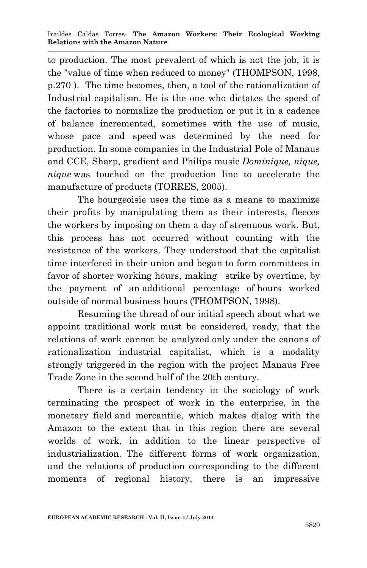to production. The most prevalent of which is not the job, it is the "value of time when reduced to money" (THOMPSON, 1998, p.270 ). The time becomes, then, a tool of the rationalization of Industrial capitalism. He is the one who dictates the speed of the factories to normalize the production or put it in a cadence of balance incremented, sometimes with the use of music, whose pace and speed was determined by the need for production. In some companies in the Industrial Pole of Manaus and CCE, Sharp, gradient and Philips music *Dominique, nique, nique* was touched on the production line to accelerate the manufacture of products (TORRES, 2005).

The bourgeoisie uses the time as a means to maximize their profits by manipulating them as their interests, fleeces the workers by imposing on them a day of strenuous work. But, this process has not occurred without counting with the resistance of the workers. They understood that the capitalist time interfered in their union and began to form committees in favor of shorter working hours, making strike by overtime, by the payment of an additional percentage of hours worked outside of normal business hours (THOMPSON, 1998).

Resuming the thread of our initial speech about what we appoint traditional work must be considered, ready, that the relations of work cannot be analyzed only under the canons of rationalization industrial capitalist, which is a modality strongly triggered in the region with the project Manaus Free Trade Zone in the second half of the 20th century.

There is a certain tendency in the sociology of work terminating the prospect of work in the enterprise, in the monetary field and mercantile, which makes dialog with the Amazon to the extent that in this region there are several worlds of work, in addition to the linear perspective of industrialization. The different forms of work organization, and the relations of production corresponding to the different moments of regional history, there is an impressive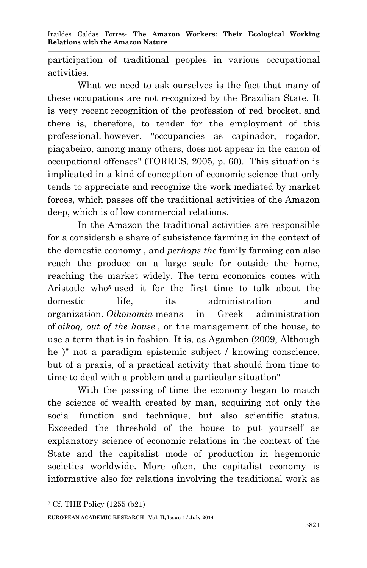participation of traditional peoples in various occupational activities.

What we need to ask ourselves is the fact that many of these occupations are not recognized by the Brazilian State. It is very recent recognition of the profession of red brocket, and there is, therefore, to tender for the employment of this professional. however, "occupancies as capinador, roçador, piaçabeiro, among many others, does not appear in the canon of occupational offenses" (TORRES, 2005, p. 60). This situation is implicated in a kind of conception of economic science that only tends to appreciate and recognize the work mediated by market forces, which passes off the traditional activities of the Amazon deep, which is of low commercial relations.

In the Amazon the traditional activities are responsible for a considerable share of subsistence farming in the context of the domestic economy , and *perhaps the* family farming can also reach the produce on a large scale for outside the home, reaching the market widely. The term economics comes with Aristotle who<sup>5</sup> used it for the first time to talk about the domestic life, its administration and organization. *Oikonomia* means in Greek administration of *oikoq, out of the house* , or the management of the house, to use a term that is in fashion. It is, as Agamben (2009, Although he )" not a paradigm epistemic subject / knowing conscience, but of a praxis, of a practical activity that should from time to time to deal with a problem and a particular situation"

With the passing of time the economy began to match the science of wealth created by man, acquiring not only the social function and technique, but also scientific status. Exceeded the threshold of the house to put yourself as explanatory science of economic relations in the context of the State and the capitalist mode of production in hegemonic societies worldwide. More often, the capitalist economy is informative also for relations involving the traditional work as

**.** 

**EUROPEAN ACADEMIC RESEARCH - Vol. II, Issue 4 / July 2014**

<sup>5</sup> Cf. THE Policy (1255 (b21)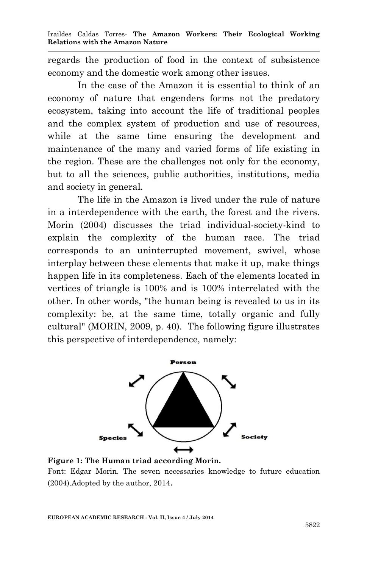regards the production of food in the context of subsistence economy and the domestic work among other issues.

In the case of the Amazon it is essential to think of an economy of nature that engenders forms not the predatory ecosystem, taking into account the life of traditional peoples and the complex system of production and use of resources, while at the same time ensuring the development and maintenance of the many and varied forms of life existing in the region. These are the challenges not only for the economy, but to all the sciences, public authorities, institutions, media and society in general.

The life in the Amazon is lived under the rule of nature in a interdependence with the earth, the forest and the rivers. Morin (2004) discusses the triad individual-society-kind to explain the complexity of the human race. The triad corresponds to an uninterrupted movement, swivel, whose interplay between these elements that make it up, make things happen life in its completeness. Each of the elements located in vertices of triangle is 100% and is 100% interrelated with the other. In other words, "the human being is revealed to us in its complexity: be, at the same time, totally organic and fully cultural" (MORIN, 2009, p. 40). The following figure illustrates this perspective of interdependence, namely:



**Figure 1: The Human triad according Morin.** Font: Edgar Morin. The seven necessaries knowledge to future education (2004).Adopted by the author, 2014.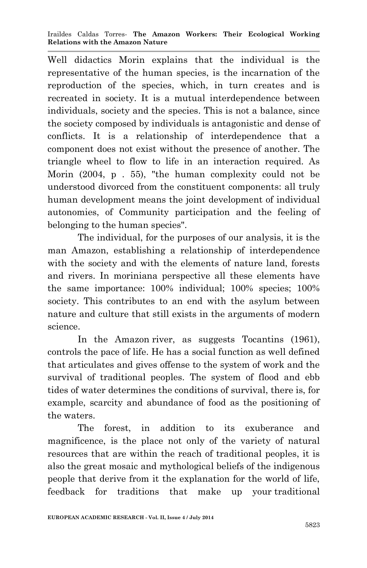Well didactics Morin explains that the individual is the representative of the human species, is the incarnation of the reproduction of the species, which, in turn creates and is recreated in society. It is a mutual interdependence between individuals, society and the species. This is not a balance, since the society composed by individuals is antagonistic and dense of conflicts. It is a relationship of interdependence that a component does not exist without the presence of another. The triangle wheel to flow to life in an interaction required. As Morin (2004, p . 55), "the human complexity could not be understood divorced from the constituent components: all truly human development means the joint development of individual autonomies, of Community participation and the feeling of belonging to the human species".

The individual, for the purposes of our analysis, it is the man Amazon, establishing a relationship of interdependence with the society and with the elements of nature land, forests and rivers. In moriniana perspective all these elements have the same importance: 100% individual; 100% species; 100% society. This contributes to an end with the asylum between nature and culture that still exists in the arguments of modern science.

In the Amazon river, as suggests Tocantins (1961), controls the pace of life. He has a social function as well defined that articulates and gives offense to the system of work and the survival of traditional peoples. The system of flood and ebb tides of water determines the conditions of survival, there is, for example, scarcity and abundance of food as the positioning of the waters.

The forest, in addition to its exuberance and magnificence, is the place not only of the variety of natural resources that are within the reach of traditional peoples, it is also the great mosaic and mythological beliefs of the indigenous people that derive from it the explanation for the world of life, feedback for traditions that make up your traditional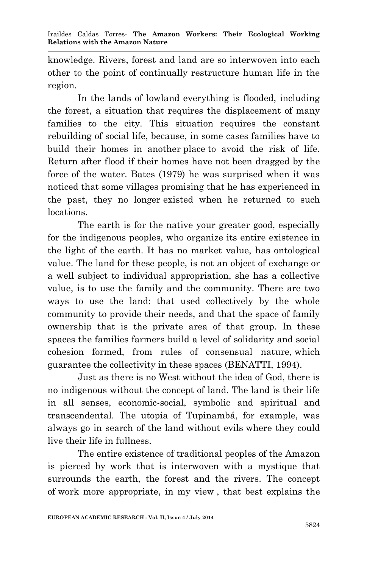knowledge. Rivers, forest and land are so interwoven into each other to the point of continually restructure human life in the region.

In the lands of lowland everything is flooded, including the forest, a situation that requires the displacement of many families to the city. This situation requires the constant rebuilding of social life, because, in some cases families have to build their homes in another place to avoid the risk of life. Return after flood if their homes have not been dragged by the force of the water. Bates (1979) he was surprised when it was noticed that some villages promising that he has experienced in the past, they no longer existed when he returned to such locations.

The earth is for the native your greater good, especially for the indigenous peoples, who organize its entire existence in the light of the earth. It has no market value, has ontological value. The land for these people, is not an object of exchange or a well subject to individual appropriation, she has a collective value, is to use the family and the community. There are two ways to use the land: that used collectively by the whole community to provide their needs, and that the space of family ownership that is the private area of that group. In these spaces the families farmers build a level of solidarity and social cohesion formed, from rules of consensual nature, which guarantee the collectivity in these spaces (BENATTI, 1994).

Just as there is no West without the idea of God, there is no indigenous without the concept of land. The land is their life in all senses, economic-social, symbolic and spiritual and transcendental. The utopia of Tupinambá, for example, was always go in search of the land without evils where they could live their life in fullness.

The entire existence of traditional peoples of the Amazon is pierced by work that is interwoven with a mystique that surrounds the earth, the forest and the rivers. The concept of work more appropriate, in my view , that best explains the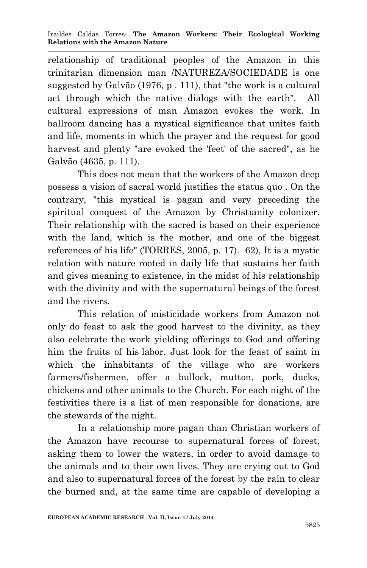relationship of traditional peoples of the Amazon in this trinitarian dimension man /NATUREZA/SOCIEDADE is one suggested by Galvão (1976, p . 111), that "the work is a cultural act through which the native dialogs with the earth". All cultural expressions of man Amazon evokes the work. In ballroom dancing has a mystical significance that unites faith and life, moments in which the prayer and the request for good harvest and plenty "are evoked the 'feet' of the sacred", as he Galvão (4635, p. 111).

This does not mean that the workers of the Amazon deep possess a vision of sacral world justifies the status quo . On the contrary, "this mystical is pagan and very preceding the spiritual conquest of the Amazon by Christianity colonizer. Their relationship with the sacred is based on their experience with the land, which is the mother, and one of the biggest references of his life" (TORRES, 2005, p. 17). 62), It is a mystic relation with nature rooted in daily life that sustains her faith and gives meaning to existence, in the midst of his relationship with the divinity and with the supernatural beings of the forest and the rivers.

This relation of misticidade workers from Amazon not only do feast to ask the good harvest to the divinity, as they also celebrate the work yielding offerings to God and offering him the fruits of his labor. Just look for the feast of saint in which the inhabitants of the village who are workers farmers/fishermen, offer a bullock, mutton, pork, ducks, chickens and other animals to the Church. For each night of the festivities there is a list of men responsible for donations, are the stewards of the night.

In a relationship more pagan than Christian workers of the Amazon have recourse to supernatural forces of forest, asking them to lower the waters, in order to avoid damage to the animals and to their own lives. They are crying out to God and also to supernatural forces of the forest by the rain to clear the burned and, at the same time are capable of developing a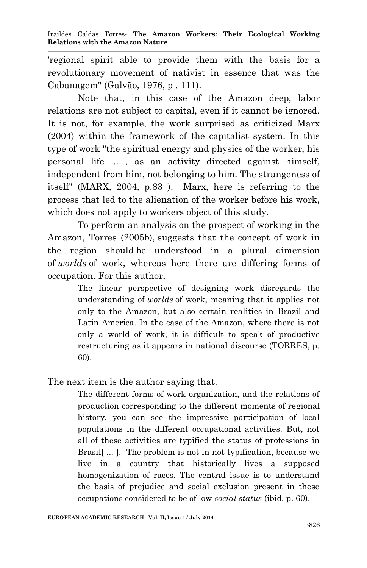'regional spirit able to provide them with the basis for a revolutionary movement of nativist in essence that was the Cabanagem" (Galvão, 1976, p . 111).

Note that, in this case of the Amazon deep, labor relations are not subject to capital, even if it cannot be ignored. It is not, for example, the work surprised as criticized Marx (2004) within the framework of the capitalist system. In this type of work "the spiritual energy and physics of the worker, his personal life ... , as an activity directed against himself, independent from him, not belonging to him. The strangeness of itself" (MARX, 2004, p.83 ). Marx, here is referring to the process that led to the alienation of the worker before his work, which does not apply to workers object of this study.

To perform an analysis on the prospect of working in the Amazon, Torres (2005b), suggests that the concept of work in the region should be understood in a plural dimension of *worlds* of work, whereas here there are differing forms of occupation. For this author,

> The linear perspective of designing work disregards the understanding of *worlds* of work, meaning that it applies not only to the Amazon, but also certain realities in Brazil and Latin America. In the case of the Amazon, where there is not only a world of work, it is difficult to speak of productive restructuring as it appears in national discourse (TORRES, p. 60).

The next item is the author saying that.

The different forms of work organization, and the relations of production corresponding to the different moments of regional history, you can see the impressive participation of local populations in the different occupational activities. But, not all of these activities are typified the status of professions in Brasil[ ... ]. The problem is not in not typification, because we live in a country that historically lives a supposed homogenization of races. The central issue is to understand the basis of prejudice and social exclusion present in these occupations considered to be of low *social status* (ibid, p. 60).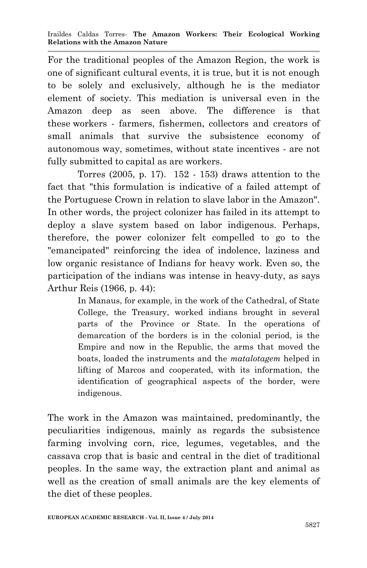For the traditional peoples of the Amazon Region, the work is one of significant cultural events, it is true, but it is not enough to be solely and exclusively, although he is the mediator element of society. This mediation is universal even in the Amazon deep as seen above. The difference is that these workers - farmers, fishermen, collectors and creators of small animals that survive the subsistence economy of autonomous way, sometimes, without state incentives - are not fully submitted to capital as are workers.

Torres (2005, p. 17). 152 - 153) draws attention to the fact that "this formulation is indicative of a failed attempt of the Portuguese Crown in relation to slave labor in the Amazon". In other words, the project colonizer has failed in its attempt to deploy a slave system based on labor indigenous. Perhaps, therefore, the power colonizer felt compelled to go to the "emancipated" reinforcing the idea of indolence, laziness and low organic resistance of Indians for heavy work. Even so, the participation of the indians was intense in heavy-duty, as says Arthur Reis (1966, p. 44):

> In Manaus, for example, in the work of the Cathedral, of State College, the Treasury, worked indians brought in several parts of the Province or State. In the operations of demarcation of the borders is in the colonial period, is the Empire and now in the Republic, the arms that moved the boats, loaded the instruments and the *matalotagem* helped in lifting of Marcos and cooperated, with its information, the identification of geographical aspects of the border, were indigenous.

The work in the Amazon was maintained, predominantly, the peculiarities indigenous, mainly as regards the subsistence farming involving corn, rice, legumes, vegetables, and the cassava crop that is basic and central in the diet of traditional peoples. In the same way, the extraction plant and animal as well as the creation of small animals are the key elements of the diet of these peoples.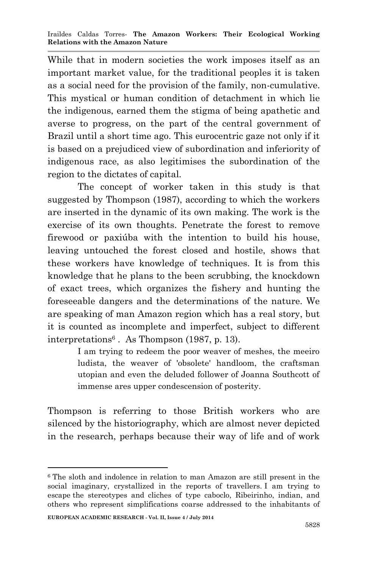While that in modern societies the work imposes itself as an important market value, for the traditional peoples it is taken as a social need for the provision of the family, non-cumulative. This mystical or human condition of detachment in which lie the indigenous, earned them the stigma of being apathetic and averse to progress, on the part of the central government of Brazil until a short time ago. This eurocentric gaze not only if it is based on a prejudiced view of subordination and inferiority of indigenous race, as also legitimises the subordination of the region to the dictates of capital.

The concept of worker taken in this study is that suggested by Thompson (1987), according to which the workers are inserted in the dynamic of its own making. The work is the exercise of its own thoughts. Penetrate the forest to remove firewood or paxiúba with the intention to build his house, leaving untouched the forest closed and hostile, shows that these workers have knowledge of techniques. It is from this knowledge that he plans to the been scrubbing, the knockdown of exact trees, which organizes the fishery and hunting the foreseeable dangers and the determinations of the nature. We are speaking of man Amazon region which has a real story, but it is counted as incomplete and imperfect, subject to different interpretations<sup>6</sup> . As Thompson (1987, p. 13).

> I am trying to redeem the poor weaver of meshes, the meeiro ludista, the weaver of 'obsolete' handloom, the craftsman utopian and even the deluded follower of Joanna Southcott of immense ares upper condescension of posterity.

Thompson is referring to those British workers who are silenced by the historiography, which are almost never depicted in the research, perhaps because their way of life and of work

<sup>6</sup> The sloth and indolence in relation to man Amazon are still present in the social imaginary, crystallized in the reports of travellers. I am trying to escape the stereotypes and cliches of type caboclo, Ribeirinho, indian, and others who represent simplifications coarse addressed to the inhabitants of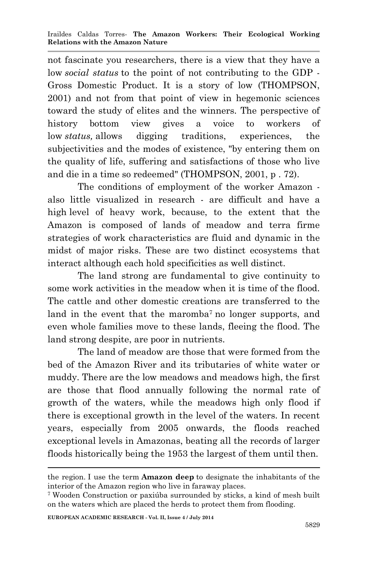not fascinate you researchers, there is a view that they have a low *social status* to the point of not contributing to the GDP - Gross Domestic Product. It is a story of low (THOMPSON, 2001) and not from that point of view in hegemonic sciences toward the study of elites and the winners. The perspective of history bottom view gives a voice to workers of low *status,* allows digging traditions, experiences, the subjectivities and the modes of existence, "by entering them on the quality of life, suffering and satisfactions of those who live and die in a time so redeemed" (THOMPSON, 2001, p . 72).

The conditions of employment of the worker Amazon also little visualized in research - are difficult and have a high level of heavy work, because, to the extent that the Amazon is composed of lands of meadow and terra firme strategies of work characteristics are fluid and dynamic in the midst of major risks. These are two distinct ecosystems that interact although each hold specificities as well distinct.

The land strong are fundamental to give continuity to some work activities in the meadow when it is time of the flood. The cattle and other domestic creations are transferred to the land in the event that the maromba<sup>7</sup> no longer supports, and even whole families move to these lands, fleeing the flood. The land strong despite, are poor in nutrients.

The land of meadow are those that were formed from the bed of the Amazon River and its tributaries of white water or muddy. There are the low meadows and meadows high, the first are those that flood annually following the normal rate of growth of the waters, while the meadows high only flood if there is exceptional growth in the level of the waters. In recent years, especially from 2005 onwards, the floods reached exceptional levels in Amazonas, beating all the records of larger floods historically being the 1953 the largest of them until then.

the region. I use the term **Amazon deep** to designate the inhabitants of the interior of the Amazon region who live in faraway places.

<sup>7</sup> Wooden Construction or paxiúba surrounded by sticks, a kind of mesh built on the waters which are placed the herds to protect them from flooding.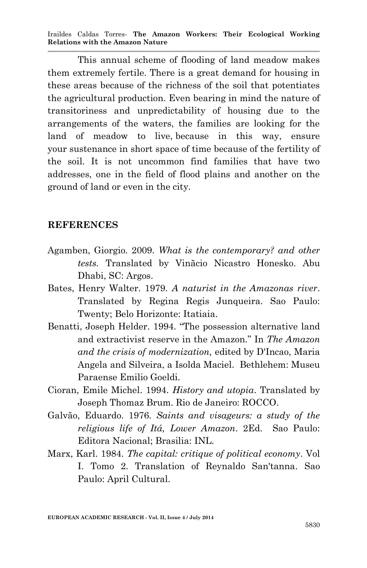Iraildes Caldas Torres*-* **The Amazon Workers: Their Ecological Working Relations with the Amazon Nature**

This annual scheme of flooding of land meadow makes them extremely fertile. There is a great demand for housing in these areas because of the richness of the soil that potentiates the agricultural production. Even bearing in mind the nature of transitoriness and unpredictability of housing due to the arrangements of the waters, the families are looking for the land of meadow to live, because in this way, ensure your sustenance in short space of time because of the fertility of the soil. It is not uncommon find families that have two addresses, one in the field of flood plains and another on the ground of land or even in the city.

## **REFERENCES**

- Agamben, Giorgio. 2009. *What is the contemporary? and other tests.* Translated by Vinãcio Nicastro Honesko. Abu Dhabi, SC: Argos.
- Bates, Henry Walter. 1979. *A naturist in the Amazonas river*. Translated by Regina Regis Junqueira. Sao Paulo: Twenty; Belo Horizonte: Itatiaia.
- Benatti, Joseph Helder. 1994. "The possession alternative land and extractivist reserve in the Amazon." In *The Amazon and the crisis of modernization,* edited by D'Incao, Maria Angela and Silveira, a Isolda Maciel. Bethlehem: Museu Paraense Emilio Goeldi.
- Cioran, Emile Michel. 1994. *History and utopia*. Translated by Joseph Thomaz Brum. Rio de Janeiro: ROCCO.
- Galvão, Eduardo. 1976. *Saints and visageurs: a study of the religious life of Itá, Lower Amazon*. 2Ed. Sao Paulo: Editora Nacional; Brasilia: INL.
- Marx, Karl. 1984. *The capital: critique of political economy*. Vol I. Tomo 2. Translation of Reynaldo San'tanna. Sao Paulo: April Cultural.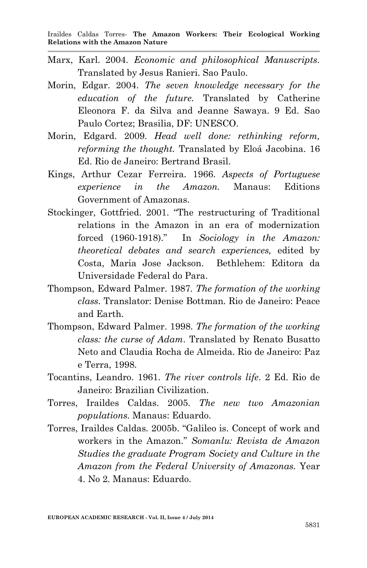- Marx, Karl. 2004. *Economic and philosophical Manuscripts.* Translated by Jesus Ranieri. Sao Paulo.
- Morin, Edgar. 2004. *The seven knowledge necessary for the education of the future.* Translated by Catherine Eleonora F. da Silva and Jeanne Sawaya. 9 Ed. Sao Paulo Cortez; Brasilia, DF: UNESCO.
- Morin, Edgard. 2009. *Head well done: rethinking reform, reforming the thought.* Translated by Eloá Jacobina. 16 Ed. Rio de Janeiro: Bertrand Brasil.
- Kings, Arthur Cezar Ferreira. 1966. *Aspects of Portuguese experience in the Amazon.* Manaus: Editions Government of Amazonas.
- Stockinger, Gottfried. 2001. "The restructuring of Traditional relations in the Amazon in an era of modernization forced (1960-1918)." In *Sociology in the Amazon: theoretical debates and search experiences,* edited by Costa, Maria Jose Jackson. Bethlehem: Editora da Universidade Federal do Para.
- Thompson, Edward Palmer. 1987. *The formation of the working class.* Translator: Denise Bottman. Rio de Janeiro: Peace and Earth.
- Thompson, Edward Palmer. 1998. *The formation of the working class: the curse of Adam*. Translated by Renato Busatto Neto and Claudia Rocha de Almeida. Rio de Janeiro: Paz e Terra, 1998.
- Tocantins, Leandro. 1961. *The river controls life*. 2 Ed. Rio de Janeiro: Brazilian Civilization.
- Torres, Iraildes Caldas. 2005. *The new two Amazonian populations.* Manaus: Eduardo.
- Torres, Iraildes Caldas*.* 2005b. "Galileo is. Concept of work and workers in the Amazon." *Somanlu: Revista de Amazon Studies the graduate Program Society and Culture in the Amazon from the Federal University of Amazonas.* Year 4. No 2. Manaus: Eduardo.